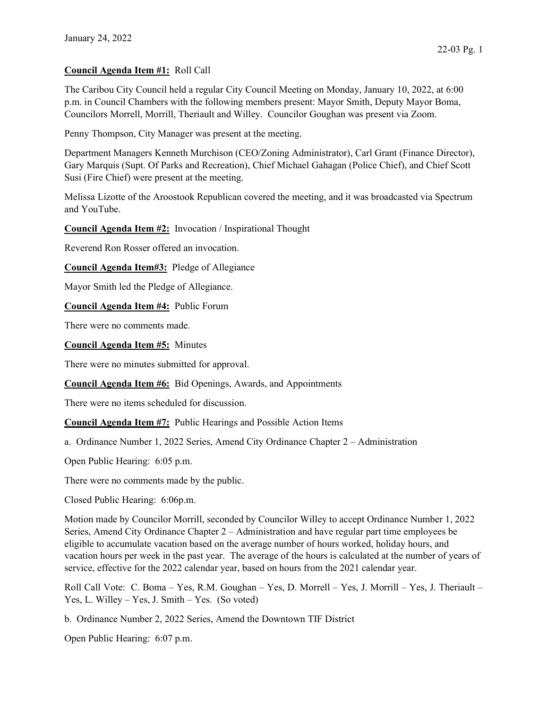## Council Agenda Item #1: Roll Call

The Caribou City Council held a regular City Council Meeting on Monday, January 10, 2022, at 6:00 p.m. in Council Chambers with the following members present: Mayor Smith, Deputy Mayor Boma, Councilors Morrell, Morrill, Theriault and Willey. Councilor Goughan was present via Zoom.

Penny Thompson, City Manager was present at the meeting.

Department Managers Kenneth Murchison (CEO/Zoning Administrator), Carl Grant (Finance Director), Gary Marquis (Supt. Of Parks and Recreation), Chief Michael Gahagan (Police Chief), and Chief Scott Susi (Fire Chief) were present at the meeting.

Melissa Lizotte of the Aroostook Republican covered the meeting, and it was broadcasted via Spectrum and YouTube.

Council Agenda Item #2: Invocation / Inspirational Thought

Reverend Ron Rosser offered an invocation.

Council Agenda Item#3: Pledge of Allegiance

Mayor Smith led the Pledge of Allegiance.

Council Agenda Item #4: Public Forum

There were no comments made.

Council Agenda Item #5: Minutes

There were no minutes submitted for approval.

Council Agenda Item #6: Bid Openings, Awards, and Appointments

There were no items scheduled for discussion.

Council Agenda Item #7: Public Hearings and Possible Action Items

a. Ordinance Number 1, 2022 Series, Amend City Ordinance Chapter 2 – Administration

Open Public Hearing: 6:05 p.m.

There were no comments made by the public.

Closed Public Hearing: 6:06p.m.

Motion made by Councilor Morrill, seconded by Councilor Willey to accept Ordinance Number 1, 2022 Series, Amend City Ordinance Chapter 2 – Administration and have regular part time employees be eligible to accumulate vacation based on the average number of hours worked, holiday hours, and vacation hours per week in the past year. The average of the hours is calculated at the number of years of service, effective for the 2022 calendar year, based on hours from the 2021 calendar year.

Roll Call Vote: C. Boma – Yes, R.M. Goughan – Yes, D. Morrell – Yes, J. Morrill – Yes, J. Theriault – Yes, L. Willey – Yes, J. Smith – Yes. (So voted)

b. Ordinance Number 2, 2022 Series, Amend the Downtown TIF District

Open Public Hearing: 6:07 p.m.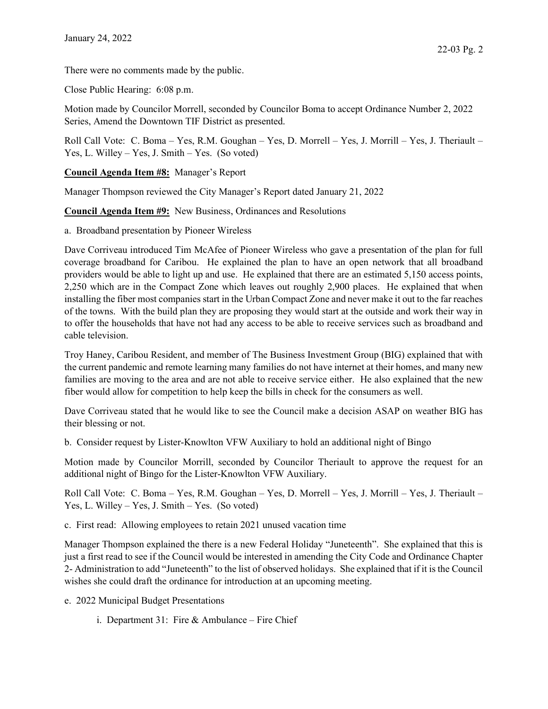There were no comments made by the public.

Close Public Hearing: 6:08 p.m.

Motion made by Councilor Morrell, seconded by Councilor Boma to accept Ordinance Number 2, 2022 Series, Amend the Downtown TIF District as presented.

Roll Call Vote: C. Boma – Yes, R.M. Goughan – Yes, D. Morrell – Yes, J. Morrill – Yes, J. Theriault – Yes, L. Willey – Yes, J. Smith – Yes. (So voted)

## Council Agenda Item #8: Manager's Report

Manager Thompson reviewed the City Manager's Report dated January 21, 2022

Council Agenda Item #9: New Business, Ordinances and Resolutions

a. Broadband presentation by Pioneer Wireless

Dave Corriveau introduced Tim McAfee of Pioneer Wireless who gave a presentation of the plan for full coverage broadband for Caribou. He explained the plan to have an open network that all broadband providers would be able to light up and use. He explained that there are an estimated 5,150 access points, 2,250 which are in the Compact Zone which leaves out roughly 2,900 places. He explained that when installing the fiber most companies start in the Urban Compact Zone and never make it out to the far reaches of the towns. With the build plan they are proposing they would start at the outside and work their way in to offer the households that have not had any access to be able to receive services such as broadband and cable television.

Troy Haney, Caribou Resident, and member of The Business Investment Group (BIG) explained that with the current pandemic and remote learning many families do not have internet at their homes, and many new families are moving to the area and are not able to receive service either. He also explained that the new fiber would allow for competition to help keep the bills in check for the consumers as well.

Dave Corriveau stated that he would like to see the Council make a decision ASAP on weather BIG has their blessing or not.

b. Consider request by Lister-Knowlton VFW Auxiliary to hold an additional night of Bingo

Motion made by Councilor Morrill, seconded by Councilor Theriault to approve the request for an additional night of Bingo for the Lister-Knowlton VFW Auxiliary.

Roll Call Vote: C. Boma – Yes, R.M. Goughan – Yes, D. Morrell – Yes, J. Morrill – Yes, J. Theriault – Yes, L. Willey – Yes, J. Smith – Yes. (So voted)

c. First read: Allowing employees to retain 2021 unused vacation time

Manager Thompson explained the there is a new Federal Holiday "Juneteenth". She explained that this is just a first read to see if the Council would be interested in amending the City Code and Ordinance Chapter 2- Administration to add "Juneteenth" to the list of observed holidays. She explained that if it is the Council wishes she could draft the ordinance for introduction at an upcoming meeting.

- e. 2022 Municipal Budget Presentations
	- i. Department 31: Fire & Ambulance Fire Chief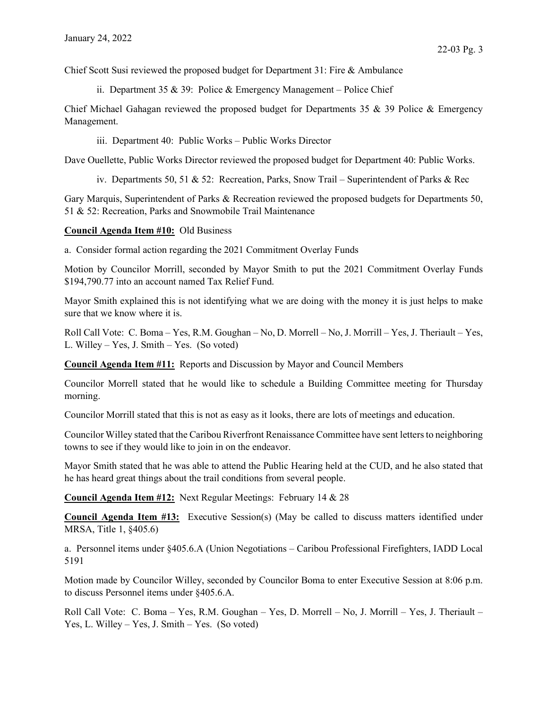Chief Scott Susi reviewed the proposed budget for Department 31: Fire & Ambulance

ii. Department 35 & 39: Police & Emergency Management – Police Chief

Chief Michael Gahagan reviewed the proposed budget for Departments 35 & 39 Police & Emergency Management.

iii. Department 40: Public Works – Public Works Director

Dave Ouellette, Public Works Director reviewed the proposed budget for Department 40: Public Works.

iv. Departments 50, 51 & 52: Recreation, Parks, Snow Trail – Superintendent of Parks & Rec

Gary Marquis, Superintendent of Parks & Recreation reviewed the proposed budgets for Departments 50, 51 & 52: Recreation, Parks and Snowmobile Trail Maintenance

## Council Agenda Item #10: Old Business

a. Consider formal action regarding the 2021 Commitment Overlay Funds

Motion by Councilor Morrill, seconded by Mayor Smith to put the 2021 Commitment Overlay Funds \$194,790.77 into an account named Tax Relief Fund.

Mayor Smith explained this is not identifying what we are doing with the money it is just helps to make sure that we know where it is.

Roll Call Vote: C. Boma – Yes, R.M. Goughan – No, D. Morrell – No, J. Morrill – Yes, J. Theriault – Yes, L. Willey – Yes, J. Smith – Yes. (So voted)

Council Agenda Item #11: Reports and Discussion by Mayor and Council Members

Councilor Morrell stated that he would like to schedule a Building Committee meeting for Thursday morning.

Councilor Morrill stated that this is not as easy as it looks, there are lots of meetings and education.

Councilor Willey stated that the Caribou Riverfront Renaissance Committee have sent letters to neighboring towns to see if they would like to join in on the endeavor.

Mayor Smith stated that he was able to attend the Public Hearing held at the CUD, and he also stated that he has heard great things about the trail conditions from several people.

Council Agenda Item #12: Next Regular Meetings: February 14 & 28

Council Agenda Item #13: Executive Session(s) (May be called to discuss matters identified under MRSA, Title 1, §405.6)

a. Personnel items under §405.6.A (Union Negotiations – Caribou Professional Firefighters, IADD Local 5191

Motion made by Councilor Willey, seconded by Councilor Boma to enter Executive Session at 8:06 p.m. to discuss Personnel items under §405.6.A.

Roll Call Vote: C. Boma – Yes, R.M. Goughan – Yes, D. Morrell – No, J. Morrill – Yes, J. Theriault – Yes, L. Willey – Yes, J. Smith – Yes. (So voted)